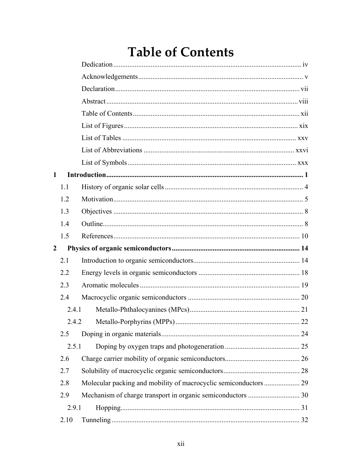## **Table of Contents**

<span id="page-0-0"></span>

| $\mathbf{1}$   |       |  |  |  |
|----------------|-------|--|--|--|
|                | 1.1   |  |  |  |
|                | 1.2   |  |  |  |
|                | 1.3   |  |  |  |
|                | 1.4   |  |  |  |
|                | 1.5   |  |  |  |
| $\overline{2}$ |       |  |  |  |
|                | 2.1   |  |  |  |
|                | 2.2   |  |  |  |
|                | 2.3   |  |  |  |
|                | 2.4   |  |  |  |
| 2.4.1          |       |  |  |  |
|                | 2.4.2 |  |  |  |
|                | 2.5   |  |  |  |
|                | 2.5.1 |  |  |  |
|                | 2.6   |  |  |  |
|                | 2.7   |  |  |  |
|                | 2.8   |  |  |  |
|                | 2.9   |  |  |  |
|                | 2.9.1 |  |  |  |
|                | 2.10  |  |  |  |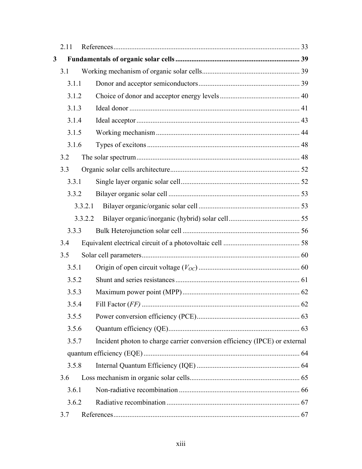|   | 2.11                                                                                                                                                                                                        |                                                                            |  |
|---|-------------------------------------------------------------------------------------------------------------------------------------------------------------------------------------------------------------|----------------------------------------------------------------------------|--|
| 3 |                                                                                                                                                                                                             |                                                                            |  |
|   | 3.1                                                                                                                                                                                                         |                                                                            |  |
|   |                                                                                                                                                                                                             |                                                                            |  |
|   |                                                                                                                                                                                                             |                                                                            |  |
|   |                                                                                                                                                                                                             |                                                                            |  |
|   |                                                                                                                                                                                                             |                                                                            |  |
|   |                                                                                                                                                                                                             |                                                                            |  |
|   |                                                                                                                                                                                                             |                                                                            |  |
|   | 3.2                                                                                                                                                                                                         |                                                                            |  |
|   | 3.3                                                                                                                                                                                                         |                                                                            |  |
|   |                                                                                                                                                                                                             |                                                                            |  |
|   |                                                                                                                                                                                                             |                                                                            |  |
|   |                                                                                                                                                                                                             |                                                                            |  |
|   |                                                                                                                                                                                                             |                                                                            |  |
|   |                                                                                                                                                                                                             |                                                                            |  |
|   | 3.4                                                                                                                                                                                                         |                                                                            |  |
|   | 3.5                                                                                                                                                                                                         |                                                                            |  |
|   |                                                                                                                                                                                                             |                                                                            |  |
|   |                                                                                                                                                                                                             |                                                                            |  |
|   |                                                                                                                                                                                                             |                                                                            |  |
|   |                                                                                                                                                                                                             |                                                                            |  |
|   |                                                                                                                                                                                                             |                                                                            |  |
|   | 3.1.1<br>3.1.2<br>3.1.3<br>3.1.4<br>3.1.5<br>3.1.6<br>3.3.1<br>3.3.2<br>3.3.2.1<br>3.3.2.2<br>3.3.3<br>3.5.1<br>3.5.2<br>3.5.3<br>3.5.4<br>3.5.5<br>3.5.6<br>3.5.7<br>3.5.8<br>3.6<br>3.6.1<br>3.6.2<br>3.7 |                                                                            |  |
|   |                                                                                                                                                                                                             | Incident photon to charge carrier conversion efficiency (IPCE) or external |  |
|   |                                                                                                                                                                                                             |                                                                            |  |
|   |                                                                                                                                                                                                             |                                                                            |  |
|   |                                                                                                                                                                                                             |                                                                            |  |
|   |                                                                                                                                                                                                             |                                                                            |  |
|   |                                                                                                                                                                                                             |                                                                            |  |
|   |                                                                                                                                                                                                             |                                                                            |  |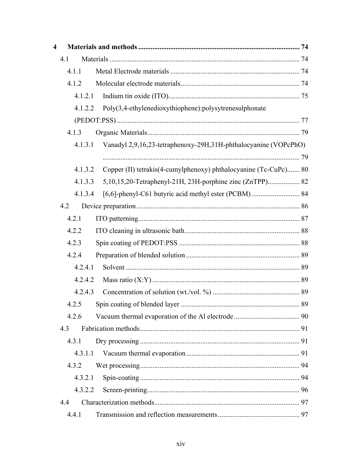| $\overline{\mathbf{4}}$ |         |                                                                  |  |
|-------------------------|---------|------------------------------------------------------------------|--|
|                         | 4.1     |                                                                  |  |
|                         | 4.1.1   |                                                                  |  |
|                         | 4.1.2   |                                                                  |  |
|                         | 4.1.2.1 |                                                                  |  |
|                         | 4.1.2.2 | Poly(3,4-ethylenedioxythiophene):polysytrenesulphonate           |  |
|                         |         |                                                                  |  |
|                         | 4.1.3   |                                                                  |  |
|                         | 4.1.3.1 | Vanadyl 2,9,16,23-tetraphenoxy-29H,31H-phthalocyanine (VOPcPhO)  |  |
|                         |         |                                                                  |  |
|                         | 4.1.3.2 | Copper (II) tetrakis(4-cumylphenoxy) phthalocyanine (Tc-CuPc) 80 |  |
|                         | 4.1.3.3 | 5,10,15,20-Tetraphenyl-21H, 23H-porphine zinc (ZnTPP) 82         |  |
|                         | 4.1.3.4 |                                                                  |  |
|                         | 4.2     |                                                                  |  |
|                         | 4.2.1   |                                                                  |  |
|                         | 4.2.2   |                                                                  |  |
|                         | 4.2.3   |                                                                  |  |
|                         | 4.2.4   |                                                                  |  |
|                         | 4.2.4.1 |                                                                  |  |
|                         | 4.2.4.2 |                                                                  |  |
|                         | 4.2.4.3 |                                                                  |  |
|                         | 4.2.5   |                                                                  |  |
|                         | 4.2.6   |                                                                  |  |
|                         | 4.3     |                                                                  |  |
|                         | 4.3.1   |                                                                  |  |
|                         | 4.3.1.1 |                                                                  |  |
|                         | 4.3.2   |                                                                  |  |
|                         | 4.3.2.1 |                                                                  |  |
|                         | 4.3.2.2 |                                                                  |  |
|                         | 4.4     |                                                                  |  |
|                         | 4.4.1   |                                                                  |  |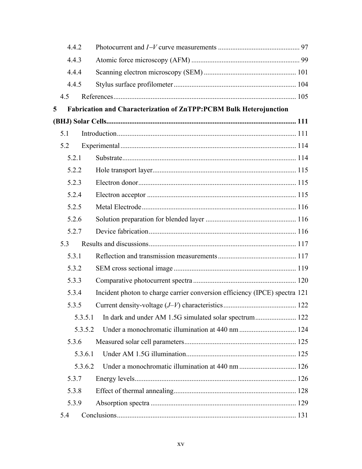| 4.4.2   |                                                                            |  |
|---------|----------------------------------------------------------------------------|--|
| 4.4.3   |                                                                            |  |
| 4.4.4   |                                                                            |  |
| 4.4.5   |                                                                            |  |
| 4.5     |                                                                            |  |
| 5       | Fabrication and Characterization of ZnTPP:PCBM Bulk Heterojunction         |  |
|         |                                                                            |  |
| 5.1     |                                                                            |  |
| 5.2     |                                                                            |  |
| 5.2.1   |                                                                            |  |
| 5.2.2   |                                                                            |  |
| 5.2.3   |                                                                            |  |
| 5.2.4   |                                                                            |  |
| 5.2.5   |                                                                            |  |
| 5.2.6   |                                                                            |  |
| 5.2.7   |                                                                            |  |
| 5.3     |                                                                            |  |
| 5.3.1   |                                                                            |  |
| 5.3.2   |                                                                            |  |
| 5.3.3   |                                                                            |  |
| 5.3.4   | Incident photon to charge carrier conversion efficiency (IPCE) spectra 121 |  |
| 5.3.5   |                                                                            |  |
| 5.3.5.1 | In dark and under AM 1.5G simulated solar spectrum 122                     |  |
| 5.3.5.2 |                                                                            |  |
| 5.3.6   |                                                                            |  |
| 5.3.6.1 |                                                                            |  |
| 5.3.6.2 |                                                                            |  |
| 5.3.7   |                                                                            |  |
| 5.3.8   |                                                                            |  |
| 5.3.9   |                                                                            |  |
| 5.4     |                                                                            |  |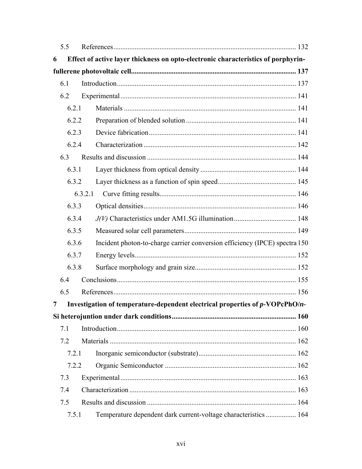|       | 5.5   |                                                                                   |  |
|-------|-------|-----------------------------------------------------------------------------------|--|
| 6     |       | Effect of active layer thickness on opto-electronic characteristics of porphyrin- |  |
|       |       |                                                                                   |  |
| 6.1   |       |                                                                                   |  |
|       | 6.2   |                                                                                   |  |
|       | 6.2.1 |                                                                                   |  |
|       | 6.2.2 |                                                                                   |  |
|       | 6.2.3 |                                                                                   |  |
|       | 6.2.4 |                                                                                   |  |
|       | 6.3   |                                                                                   |  |
|       | 6.3.1 |                                                                                   |  |
|       | 6.3.2 |                                                                                   |  |
|       |       | 6.3.2.1                                                                           |  |
|       | 6.3.3 |                                                                                   |  |
|       | 6.3.4 |                                                                                   |  |
|       | 6.3.5 |                                                                                   |  |
|       | 6.3.6 | Incident photon-to-charge carrier conversion efficiency (IPCE) spectra 150        |  |
|       | 6.3.7 |                                                                                   |  |
| 6.3.8 |       |                                                                                   |  |
|       | 6.4   |                                                                                   |  |
|       | 6.5   |                                                                                   |  |
| 7     |       | Investigation of temperature-dependent electrical properties of p-VOPcPhO/n-      |  |
|       |       |                                                                                   |  |
|       | 7.1   |                                                                                   |  |
|       | 7.2   |                                                                                   |  |
|       | 7.2.1 |                                                                                   |  |
|       | 7.2.2 |                                                                                   |  |
|       | 7.3   |                                                                                   |  |
|       | 7.4   |                                                                                   |  |
|       | 7.5   |                                                                                   |  |
|       | 7.5.1 | Temperature dependent dark current-voltage characteristics 164                    |  |